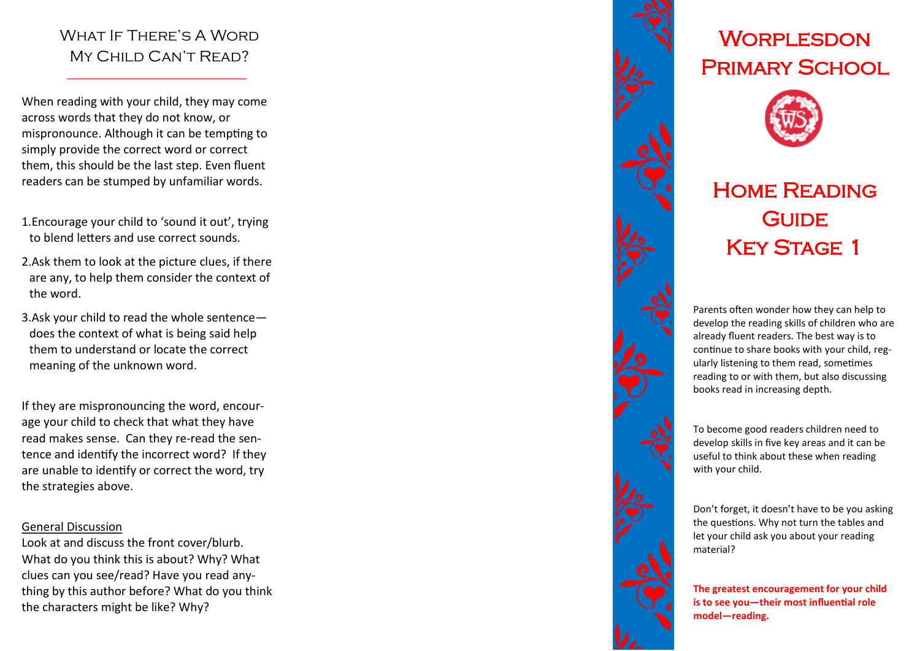### WHAT IF THERE'S A WORD MY CHILD CAN'T READ?

When reading with your child, they may come across words that they do not know, or mispronounce. Although it can be tempting to simply provide the correct word or correct them, this should be the last step. Even fluent readers can be stumped by unfamiliar words.

- 1.Encourage your child to 'sound it out', trying to blend letters and use correct sounds.
- 2.Ask them to look at the picture clues, if there are any, to help them consider the context of the word.
- 3.Ask your child to read the whole sentence does the context of what is being said help them to understand or locate the correct meaning of the unknown word.

If they are mispronouncing the word, encourage your child to check that what they have read makes sense. Can they re -read the sentence and identify the incorrect word? If they are unable to identify or correct the word, try the strategies above.

#### General Discussion

Look at and discuss the front cover/blurb. What do you think this is about? Why? What clues can you see/read? Have you read anything by this author before? What do you think the characters might be like? Why?



# **WORPLESDON** Primary School



## Home Reading **GUIDE** KEY STAGE 1

Parents often wonder how they can help to develop the reading skills of children who are already fluent readers. The best way is to continue to share books with your child, reg ularly listening to them read, sometimes reading to or with them, but also discussing books read in increasing depth.

To become good readers children need to develop skills in five key areas and it can be useful to think about these when reading with your child.

Don't forget, it doesn't have to be you asking the questions. Why not turn the tables and let your child ask you about your reading material?

**The greatest encouragement for your child is to see you —their most influential role model —reading.**